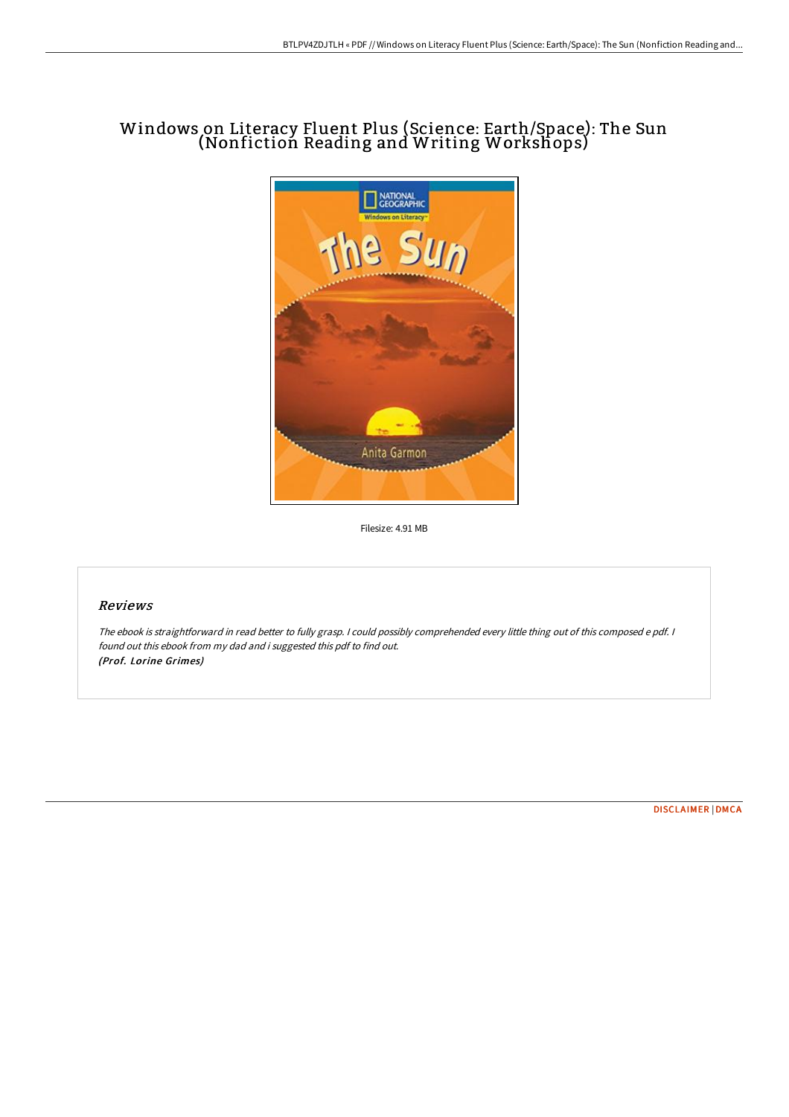## Windows on Literacy Fluent Plus (Science: Earth/Space): The Sun (Nonfiction Reading and Writing Workshops)



Filesize: 4.91 MB

## Reviews

The ebook is straightforward in read better to fully grasp. <sup>I</sup> could possibly comprehended every little thing out of this composed <sup>e</sup> pdf. <sup>I</sup> found out this ebook from my dad and i suggested this pdf to find out. (Prof. Lorine Grimes)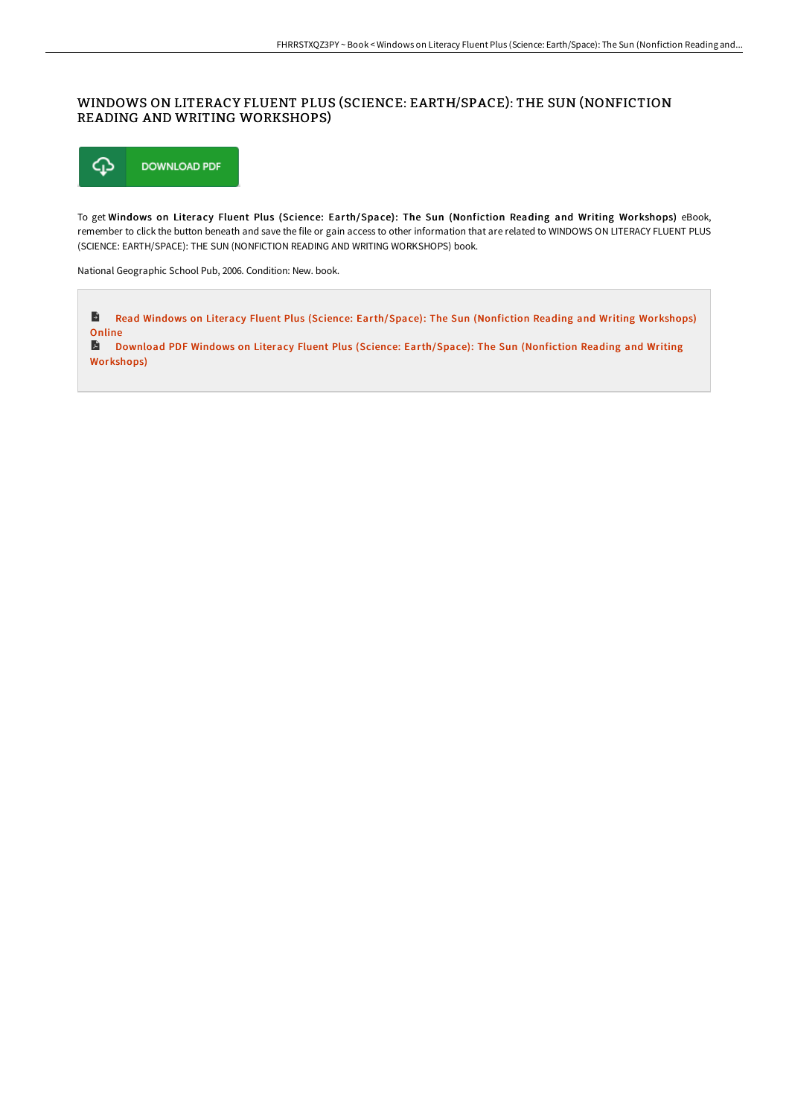## WINDOWS ON LITERACY FLUENT PLUS (SCIENCE: EARTH/SPACE): THE SUN (NONFICTION READING AND WRITING WORKSHOPS)



To get Windows on Literacy Fluent Plus (Science: Earth/Space): The Sun (Nonfiction Reading and Writing Workshops) eBook, remember to click the button beneath and save the file or gain access to other information that are related to WINDOWS ON LITERACY FLUENT PLUS (SCIENCE: EARTH/SPACE): THE SUN (NONFICTION READING AND WRITING WORKSHOPS) book.

National Geographic School Pub, 2006. Condition: New. book.